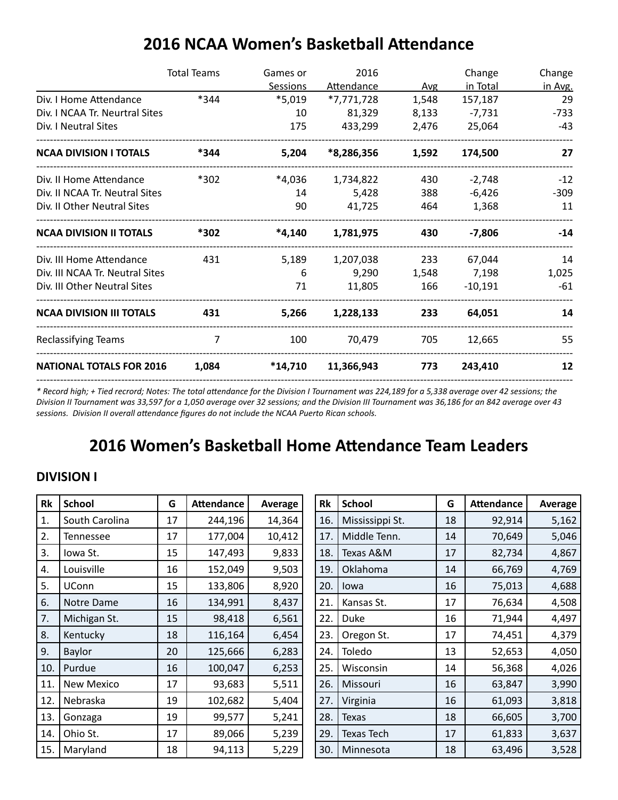|                                 | <b>Total Teams</b> | Games or  | 2016              |       | Change    | Change  |
|---------------------------------|--------------------|-----------|-------------------|-------|-----------|---------|
|                                 |                    | Sessions  | <b>Attendance</b> | Avg   | in Total  | in Avg. |
| Div. I Home Attendance          | *344               | $*5,019$  | *7,771,728        | 1,548 | 157,187   | 29      |
| Div. I NCAA Tr. Neurtral Sites  |                    | 10        | 81,329            | 8,133 | $-7,731$  | $-733$  |
| Div. I Neutral Sites            |                    | 175       | 433,299           | 2,476 | 25,064    | $-43$   |
| <b>NCAA DIVISION I TOTALS</b>   | *344               | 5,204     | *8,286,356        | 1,592 | 174,500   | 27      |
| Div. II Home Attendance         | *302               | *4,036    | 1,734,822         | 430   | $-2,748$  | $-12$   |
| Div. II NCAA Tr. Neutral Sites  |                    | 14        | 5,428             | 388   | $-6,426$  | $-309$  |
| Div. II Other Neutral Sites     |                    | 90        | 41,725            | 464   | 1,368     | 11      |
| <b>NCAA DIVISION II TOTALS</b>  | *302               | $*4,140$  | 1,781,975         | 430   | $-7,806$  | $-14$   |
| Div. III Home Attendance        | 431                | 5,189     | 1,207,038         | 233   | 67,044    | 14      |
| Div. III NCAA Tr. Neutral Sites |                    | 6         | 9,290             | 1,548 | 7,198     | 1,025   |
| Div. III Other Neutral Sites    |                    | 71        | 11,805            | 166   | $-10,191$ | -61     |
| <b>NCAA DIVISION III TOTALS</b> | 431                | 5,266     | 1,228,133         | 233   | 64,051    | 14      |
| Reclassifying Teams             | 7                  | 100       | 70,479            | 705   | 12,665    | 55      |
| <b>NATIONAL TOTALS FOR 2016</b> | 1,084              | $*14,710$ | 11,366,943        | 773   | 243,410   | 12      |

## **2016 NCAA Women's Basketball Attendance**

*\* Record high; + Tied recrord; Notes: The total attendance for the Division I Tournament was 224,189 for a 5,338 average over 42 sessions; the Division II Tournament was 33,597 for a 1,050 average over 32 sessions; and the Division III Tournament was 36,186 for an 842 average over 43 sessions. Division II overall attendance figures do not include the NCAA Puerto Rican schools.*

--------------------------------------------------------------------------------------------------------------------------------------------------------------

## **2016 Women's Basketball Home Attendance Team Leaders**

#### **DIVISION I**

| Rk  | <b>School</b>     | G  | <b>Attendance</b> | Average | Rk  | <b>School</b>     | G  | <b>Attendance</b> | <b>Average</b> |
|-----|-------------------|----|-------------------|---------|-----|-------------------|----|-------------------|----------------|
| 1.  | South Carolina    | 17 | 244,196           | 14,364  | 16. | Mississippi St.   | 18 | 92,914            | 5,162          |
| 2.  | <b>Tennessee</b>  | 17 | 177,004           | 10,412  | 17. | Middle Tenn.      | 14 | 70,649            | 5,046          |
| 3.  | Iowa St.          | 15 | 147,493           | 9,833   | 18. | Texas A&M         | 17 | 82,734            | 4,867          |
| 4.  | Louisville        | 16 | 152,049           | 9,503   | 19. | Oklahoma          | 14 | 66,769            | 4,769          |
| 5.  | <b>UConn</b>      | 15 | 133,806           | 8,920   | 20. | Iowa              | 16 | 75,013            | 4,688          |
| 6.  | Notre Dame        | 16 | 134,991           | 8,437   | 21. | Kansas St.        | 17 | 76,634            | 4,508          |
| 7.  | Michigan St.      | 15 | 98,418            | 6,561   | 22. | Duke              | 16 | 71,944            | 4,497          |
| 8.  | Kentucky          | 18 | 116,164           | 6,454   | 23. | Oregon St.        | 17 | 74,451            | 4,379          |
| 9.  | <b>Baylor</b>     | 20 | 125,666           | 6,283   | 24. | Toledo            | 13 | 52,653            | 4,050          |
| 10. | Purdue            | 16 | 100,047           | 6,253   | 25. | Wisconsin         | 14 | 56,368            | 4,026          |
| 11. | <b>New Mexico</b> | 17 | 93,683            | 5,511   | 26. | Missouri          | 16 | 63,847            | 3,990          |
| 12. | Nebraska          | 19 | 102,682           | 5,404   | 27. | Virginia          | 16 | 61,093            | 3,818          |
| 13. | Gonzaga           | 19 | 99,577            | 5,241   | 28. | <b>Texas</b>      | 18 | 66,605            | 3,700          |
| 14. | Ohio St.          | 17 | 89,066            | 5,239   | 29. | <b>Texas Tech</b> | 17 | 61,833            | 3,637          |
| 15. | Maryland          | 18 | 94,113            | 5,229   | 30. | Minnesota         | 18 | 63,496            | 3,528          |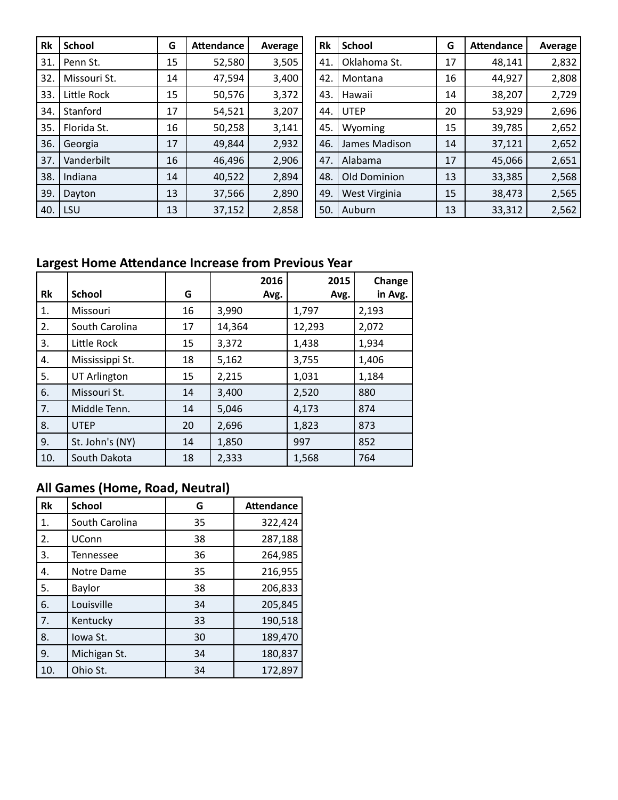| Rk  | <b>School</b> | G  | <b>Attendance</b> | Average | Rk  | <b>School</b> | G  | <b>Attendance</b> | Average |
|-----|---------------|----|-------------------|---------|-----|---------------|----|-------------------|---------|
| 31. | Penn St.      | 15 | 52,580            | 3,505   | 41. | Oklahoma St.  | 17 | 48,141            | 2,832   |
| 32. | Missouri St.  | 14 | 47,594            | 3,400   | 42. | Montana       | 16 | 44,927            | 2,808   |
| 33. | Little Rock   | 15 | 50,576            | 3,372   | 43. | Hawaii        | 14 | 38,207            | 2,729   |
| 34. | Stanford      | 17 | 54,521            | 3,207   | 44  | <b>UTEP</b>   | 20 | 53,929            | 2,696   |
| 35. | Florida St.   | 16 | 50,258            | 3,141   | 45. | Wyoming       | 15 | 39,785            | 2,652   |
| 36. | Georgia       | 17 | 49,844            | 2,932   | 46. | James Madison | 14 | 37,121            | 2,652   |
| 37. | Vanderbilt    | 16 | 46,496            | 2,906   | 47. | Alabama       | 17 | 45,066            | 2,651   |
| 38. | Indiana       | 14 | 40,522            | 2,894   | 48. | Old Dominion  | 13 | 33,385            | 2,568   |
| 39. | Dayton        | 13 | 37,566            | 2,890   | 49. | West Virginia | 15 | 38,473            | 2,565   |
| 40. | LSU           | 13 | 37,152            | 2,858   | 50. | Auburn        | 13 | 33,312            | 2,562   |

## **Largest Home Attendance Increase from Previous Year**

| Rk  | <b>School</b>       | G  | 2016<br>Avg. | 2015<br>Avg. | Change<br>in Avg. |
|-----|---------------------|----|--------------|--------------|-------------------|
| 1.  | Missouri            | 16 | 3,990        | 1,797        | 2,193             |
| 2.  | South Carolina      | 17 | 14,364       | 12,293       | 2,072             |
| 3.  | Little Rock         | 15 | 3,372        | 1,438        | 1,934             |
| 4.  | Mississippi St.     | 18 | 5,162        | 3,755        | 1,406             |
| 5.  | <b>UT Arlington</b> | 15 | 2,215        | 1,031        | 1,184             |
| 6.  | Missouri St.        | 14 | 3,400        | 2,520        | 880               |
| 7.  | Middle Tenn.        | 14 | 5,046        | 4,173        | 874               |
| 8.  | <b>UTEP</b>         | 20 | 2,696        | 1,823        | 873               |
| 9.  | St. John's (NY)     | 14 | 1,850        | 997          | 852               |
| 10. | South Dakota        | 18 | 2,333        | 1,568        | 764               |

## **All Games (Home, Road, Neutral)**

| <b>Rk</b> | <b>School</b>    | G  | <b>Attendance</b> |
|-----------|------------------|----|-------------------|
| 1.        | South Carolina   | 35 | 322,424           |
| 2.        | UConn            | 38 | 287,188           |
| 3.        | <b>Tennessee</b> | 36 | 264,985           |
| 4.        | Notre Dame       | 35 | 216,955           |
| 5.        | Baylor           | 38 | 206,833           |
| 6.        | Louisville       | 34 | 205,845           |
| 7.        | Kentucky         | 33 | 190,518           |
| 8.        | Iowa St.         | 30 | 189,470           |
| 9.        | Michigan St.     | 34 | 180,837           |
| 10.       | Ohio St.         | 34 | 172,897           |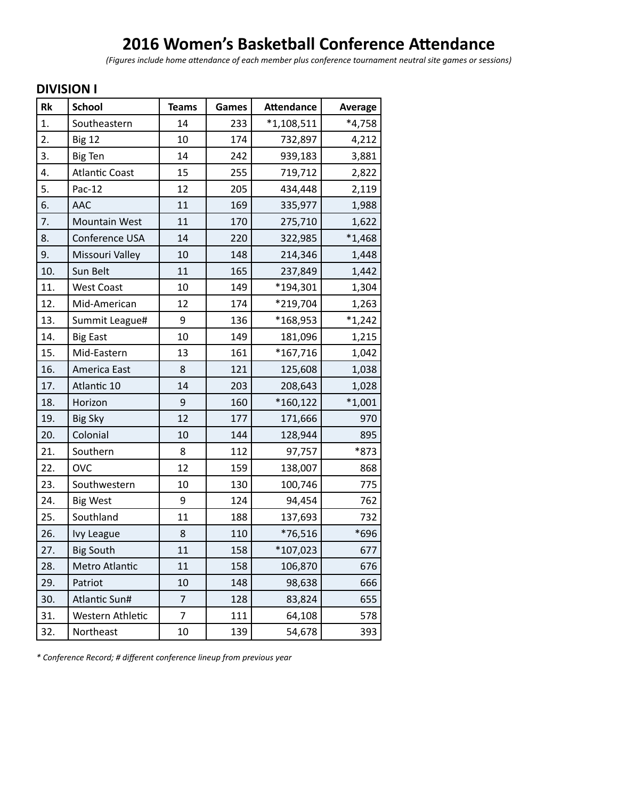# **2016 Women's Basketball Conference Attendance**

*(Figures include home attendance of each member plus conference tournament neutral site games or sessions)*

### **DIVISION I**

| Rk  | <b>School</b>         | <b>Teams</b>   | Games | <b>Attendance</b> | Average  |
|-----|-----------------------|----------------|-------|-------------------|----------|
| 1.  | Southeastern          | 14             | 233   | $*1,108,511$      | $*4,758$ |
| 2.  | <b>Big 12</b>         | 10             | 174   | 732,897           | 4,212    |
| 3.  | <b>Big Ten</b>        | 14             | 242   | 939,183           | 3,881    |
| 4.  | <b>Atlantic Coast</b> | 15             | 255   | 719,712           | 2,822    |
| 5.  | Pac-12                | 12             | 205   | 434,448           | 2,119    |
| 6.  | AAC                   | 11             | 169   | 335,977           | 1,988    |
| 7.  | Mountain West         | 11             | 170   | 275,710           | 1,622    |
| 8.  | Conference USA        | 14             | 220   | 322,985           | $*1,468$ |
| 9.  | Missouri Valley       | 10             | 148   | 214,346           | 1,448    |
| 10. | Sun Belt              | 11             | 165   | 237,849           | 1,442    |
| 11. | <b>West Coast</b>     | 10             | 149   | *194,301          | 1,304    |
| 12. | Mid-American          | 12             | 174   | *219,704          | 1,263    |
| 13. | Summit League#        | 9              | 136   | *168,953          | $*1,242$ |
| 14. | <b>Big East</b>       | 10             | 149   | 181,096           | 1,215    |
| 15. | Mid-Eastern           | 13             | 161   | *167,716          | 1,042    |
| 16. | America East          | 8              | 121   | 125,608           | 1,038    |
| 17. | Atlantic 10           | 14             | 203   | 208,643           | 1,028    |
| 18. | Horizon               | 9              | 160   | $*160,122$        | $*1,001$ |
| 19. | <b>Big Sky</b>        | 12             | 177   | 171,666           | 970      |
| 20. | Colonial              | 10             | 144   | 128,944           | 895      |
| 21. | Southern              | 8              | 112   | 97,757            | *873     |
| 22. | <b>OVC</b>            | 12             | 159   | 138,007           | 868      |
| 23. | Southwestern          | 10             | 130   | 100,746           | 775      |
| 24. | <b>Big West</b>       | 9              | 124   | 94,454            | 762      |
| 25. | Southland             | 11             | 188   | 137,693           | 732      |
| 26. | <b>Ivy League</b>     | 8              | 110   | *76,516           | *696     |
| 27. | <b>Big South</b>      | 11             | 158   | $*107,023$        | 677      |
| 28. | Metro Atlantic        | 11             | 158   | 106,870           | 676      |
| 29. | Patriot               | 10             | 148   | 98,638            | 666      |
| 30. | Atlantic Sun#         | $\overline{7}$ | 128   | 83,824            | 655      |
| 31. | Western Athletic      | $\overline{7}$ | 111   | 64,108            | 578      |
| 32. | Northeast             | 10             | 139   | 54,678            | 393      |

*\* Conference Record; # different conference lineup from previous year*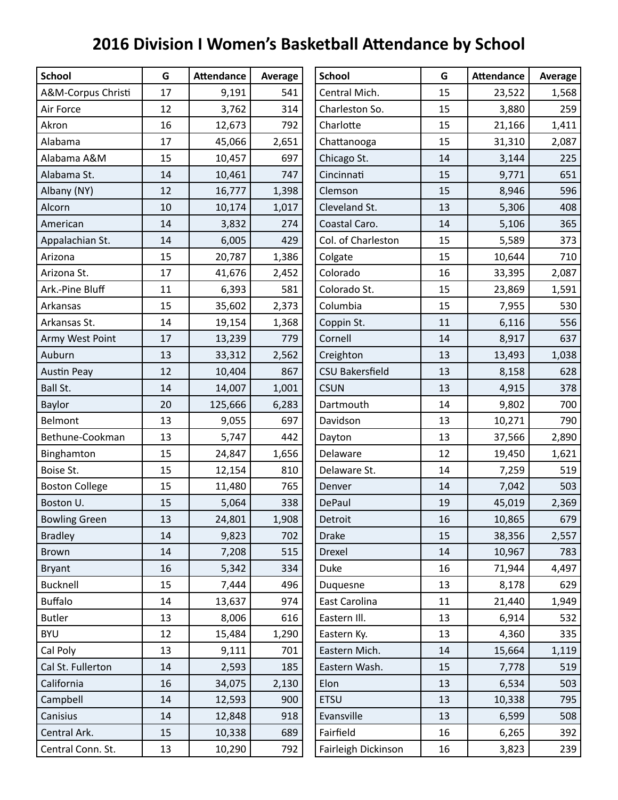# **2016 Division I Women's Basketball Attendance by School**

| <b>School</b>         | G  | <b>Attendance</b> | Average | <b>School</b>          | G  | <b>Attendance</b> | Average |
|-----------------------|----|-------------------|---------|------------------------|----|-------------------|---------|
| A&M-Corpus Christi    | 17 | 9,191             | 541     | Central Mich.          | 15 | 23,522            | 1,568   |
| Air Force             | 12 | 3,762             | 314     | Charleston So.         | 15 | 3,880             | 259     |
| Akron                 | 16 | 12,673            | 792     | Charlotte              | 15 | 21,166            | 1,411   |
| Alabama               | 17 | 45,066            | 2,651   | Chattanooga            | 15 | 31,310            | 2,087   |
| Alabama A&M           | 15 | 10,457            | 697     | Chicago St.            | 14 | 3,144             | 225     |
| Alabama St.           | 14 | 10,461            | 747     | Cincinnati             | 15 | 9,771             | 651     |
| Albany (NY)           | 12 | 16,777            | 1,398   | Clemson                | 15 | 8,946             | 596     |
| Alcorn                | 10 | 10,174            | 1,017   | Cleveland St.          | 13 | 5,306             | 408     |
| American              | 14 | 3,832             | 274     | Coastal Caro.          | 14 | 5,106             | 365     |
| Appalachian St.       | 14 | 6,005             | 429     | Col. of Charleston     | 15 | 5,589             | 373     |
| Arizona               | 15 | 20,787            | 1,386   | Colgate                | 15 | 10,644            | 710     |
| Arizona St.           | 17 | 41,676            | 2,452   | Colorado               | 16 | 33,395            | 2,087   |
| Ark .- Pine Bluff     | 11 | 6,393             | 581     | Colorado St.           | 15 | 23,869            | 1,591   |
| Arkansas              | 15 | 35,602            | 2,373   | Columbia               | 15 | 7,955             | 530     |
| Arkansas St.          | 14 | 19,154            | 1,368   | Coppin St.             | 11 | 6,116             | 556     |
| Army West Point       | 17 | 13,239            | 779     | Cornell                | 14 | 8,917             | 637     |
| Auburn                | 13 | 33,312            | 2,562   | Creighton              | 13 | 13,493            | 1,038   |
| <b>Austin Peay</b>    | 12 | 10,404            | 867     | <b>CSU Bakersfield</b> | 13 | 8,158             | 628     |
| Ball St.              | 14 | 14,007            | 1,001   | <b>CSUN</b>            | 13 | 4,915             | 378     |
| Baylor                | 20 | 125,666           | 6,283   | Dartmouth              | 14 | 9,802             | 700     |
| Belmont               | 13 | 9,055             | 697     | Davidson               | 13 | 10,271            | 790     |
| Bethune-Cookman       | 13 | 5,747             | 442     | Dayton                 | 13 | 37,566            | 2,890   |
| Binghamton            | 15 | 24,847            | 1,656   | Delaware               | 12 | 19,450            | 1,621   |
| Boise St.             | 15 | 12,154            | 810     | Delaware St.           | 14 | 7,259             | 519     |
| <b>Boston College</b> | 15 | 11,480            | 765     | Denver                 | 14 | 7,042             | 503     |
| Boston U.             | 15 | 5,064             | 338     | DePaul                 | 19 | 45,019            | 2,369   |
| <b>Bowling Green</b>  | 13 | 24,801            | 1,908   | Detroit                | 16 | 10,865            | 679     |
| <b>Bradley</b>        | 14 | 9,823             | 702     | <b>Drake</b>           | 15 | 38,356            | 2,557   |
| <b>Brown</b>          | 14 | 7,208             | 515     | Drexel                 | 14 | 10,967            | 783     |
| <b>Bryant</b>         | 16 | 5,342             | 334     | Duke                   | 16 | 71,944            | 4,497   |
| <b>Bucknell</b>       | 15 | 7,444             | 496     | Duquesne               | 13 | 8,178             | 629     |
| <b>Buffalo</b>        | 14 | 13,637            | 974     | East Carolina          | 11 | 21,440            | 1,949   |
| <b>Butler</b>         | 13 | 8,006             | 616     | Eastern III.           | 13 | 6,914             | 532     |
| <b>BYU</b>            | 12 | 15,484            | 1,290   | Eastern Ky.            | 13 | 4,360             | 335     |
| Cal Poly              | 13 | 9,111             | 701     | Eastern Mich.          | 14 | 15,664            | 1,119   |
| Cal St. Fullerton     | 14 | 2,593             | 185     | Eastern Wash.          | 15 | 7,778             | 519     |
| California            | 16 | 34,075            | 2,130   | Elon                   | 13 | 6,534             | 503     |
| Campbell              | 14 | 12,593            | 900     | <b>ETSU</b>            | 13 | 10,338            | 795     |
| Canisius              | 14 | 12,848            | 918     | Evansville             | 13 | 6,599             | 508     |
| Central Ark.          | 15 | 10,338            | 689     | Fairfield              | 16 | 6,265             | 392     |
| Central Conn. St.     | 13 | 10,290            | 792     | Fairleigh Dickinson    | 16 | 3,823             | 239     |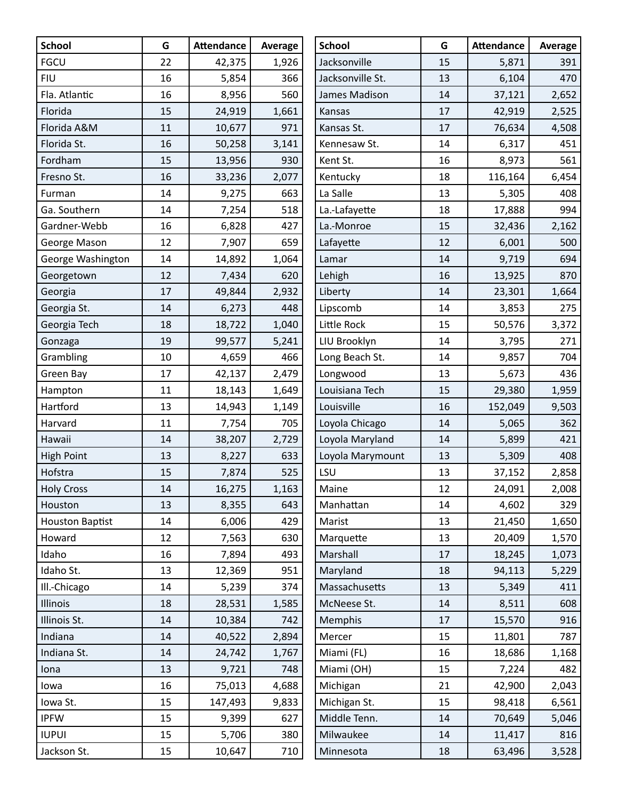| <b>School</b>          | G  | <b>Attendance</b> | Average | <b>School</b>    | G  | <b>Attendance</b> | Average |
|------------------------|----|-------------------|---------|------------------|----|-------------------|---------|
| <b>FGCU</b>            | 22 | 42,375            | 1,926   | Jacksonville     | 15 | 5,871             | 391     |
| <b>FIU</b>             | 16 | 5,854             | 366     | Jacksonville St. | 13 | 6,104             | 470     |
| Fla. Atlantic          | 16 | 8,956             | 560     | James Madison    | 14 | 37,121            | 2,652   |
| Florida                | 15 | 24,919            | 1,661   | Kansas           | 17 | 42,919            | 2,525   |
| Florida A&M            | 11 | 10,677            | 971     | Kansas St.       | 17 | 76,634            | 4,508   |
| Florida St.            | 16 | 50,258            | 3,141   | Kennesaw St.     | 14 | 6,317             | 451     |
| Fordham                | 15 | 13,956            | 930     | Kent St.         | 16 | 8,973             | 561     |
| Fresno St.             | 16 | 33,236            | 2,077   | Kentucky         | 18 | 116,164           | 6,454   |
| Furman                 | 14 | 9,275             | 663     | La Salle         | 13 | 5,305             | 408     |
| Ga. Southern           | 14 | 7,254             | 518     | La.-Lafayette    | 18 | 17,888            | 994     |
| Gardner-Webb           | 16 | 6,828             | 427     | La.-Monroe       | 15 | 32,436            | 2,162   |
| George Mason           | 12 | 7,907             | 659     | Lafayette        | 12 | 6,001             | 500     |
| George Washington      | 14 | 14,892            | 1,064   | Lamar            | 14 | 9,719             | 694     |
| Georgetown             | 12 | 7,434             | 620     | Lehigh           | 16 | 13,925            | 870     |
| Georgia                | 17 | 49,844            | 2,932   | Liberty          | 14 | 23,301            | 1,664   |
| Georgia St.            | 14 | 6,273             | 448     | Lipscomb         | 14 | 3,853             | 275     |
| Georgia Tech           | 18 | 18,722            | 1,040   | Little Rock      | 15 | 50,576            | 3,372   |
| Gonzaga                | 19 | 99,577            | 5,241   | LIU Brooklyn     | 14 | 3,795             | 271     |
| Grambling              | 10 | 4,659             | 466     | Long Beach St.   | 14 | 9,857             | 704     |
| Green Bay              | 17 | 42,137            | 2,479   | Longwood         | 13 | 5,673             | 436     |
| Hampton                | 11 | 18,143            | 1,649   | Louisiana Tech   | 15 | 29,380            | 1,959   |
| Hartford               | 13 | 14,943            | 1,149   | Louisville       | 16 | 152,049           | 9,503   |
| Harvard                | 11 | 7,754             | 705     | Loyola Chicago   | 14 | 5,065             | 362     |
| Hawaii                 | 14 | 38,207            | 2,729   | Loyola Maryland  | 14 | 5,899             | 421     |
| <b>High Point</b>      | 13 | 8,227             | 633     | Loyola Marymount | 13 | 5,309             | 408     |
| Hofstra                | 15 | 7,874             | 525     | LSU              | 13 | 37,152            | 2,858   |
| <b>Holy Cross</b>      | 14 | 16,275            | 1,163   | Maine            | 12 | 24,091            | 2,008   |
| Houston                | 13 | 8,355             | 643     | Manhattan        | 14 | 4,602             | 329     |
| <b>Houston Baptist</b> | 14 | 6,006             | 429     | Marist           | 13 | 21,450            | 1,650   |
| Howard                 | 12 | 7,563             | 630     | Marquette        | 13 | 20,409            | 1,570   |
| Idaho                  | 16 | 7,894             | 493     | Marshall         | 17 | 18,245            | 1,073   |
| Idaho St.              | 13 | 12,369            | 951     | Maryland         | 18 | 94,113            | 5,229   |
| Ill.-Chicago           | 14 | 5,239             | 374     | Massachusetts    | 13 | 5,349             | 411     |
| Illinois               | 18 | 28,531            | 1,585   | McNeese St.      | 14 | 8,511             | 608     |
| Illinois St.           | 14 | 10,384            | 742     | Memphis          | 17 | 15,570            | 916     |
| Indiana                | 14 | 40,522            | 2,894   | Mercer           | 15 | 11,801            | 787     |
| Indiana St.            | 14 | 24,742            | 1,767   | Miami (FL)       | 16 | 18,686            | 1,168   |
| Iona                   | 13 | 9,721             | 748     | Miami (OH)       | 15 | 7,224             | 482     |
| lowa                   | 16 | 75,013            | 4,688   | Michigan         | 21 | 42,900            | 2,043   |
| Iowa St.               | 15 | 147,493           | 9,833   | Michigan St.     | 15 | 98,418            | 6,561   |
| <b>IPFW</b>            | 15 | 9,399             | 627     | Middle Tenn.     | 14 | 70,649            | 5,046   |
| <b>IUPUI</b>           | 15 | 5,706             | 380     | Milwaukee        | 14 | 11,417            | 816     |
| Jackson St.            | 15 | 10,647            | 710     | Minnesota        | 18 | 63,496            | 3,528   |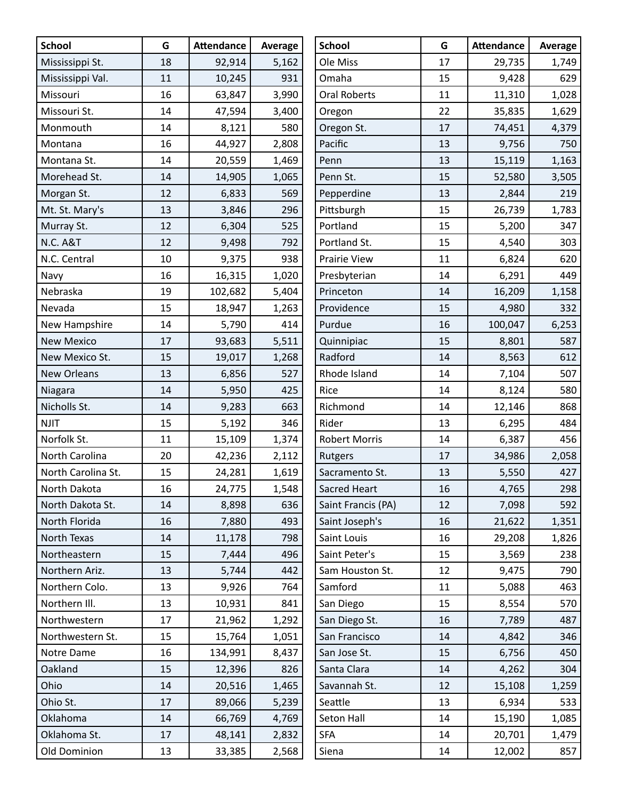| <b>School</b>       | G  | <b>Attendance</b> | Average | <b>School</b>        | G  | <b>Attendance</b> | Average |
|---------------------|----|-------------------|---------|----------------------|----|-------------------|---------|
| Mississippi St.     | 18 | 92,914            | 5,162   | Ole Miss             | 17 | 29,735            | 1,749   |
| Mississippi Val.    | 11 | 10,245            | 931     | Omaha                | 15 | 9,428             | 629     |
| Missouri            | 16 | 63,847            | 3,990   | <b>Oral Roberts</b>  | 11 | 11,310            | 1,028   |
| Missouri St.        | 14 | 47,594            | 3,400   | Oregon               | 22 | 35,835            | 1,629   |
| Monmouth            | 14 | 8,121             | 580     | Oregon St.           | 17 | 74,451            | 4,379   |
| Montana             | 16 | 44,927            | 2,808   | Pacific              | 13 | 9,756             | 750     |
| Montana St.         | 14 | 20,559            | 1,469   | Penn                 | 13 | 15,119            | 1,163   |
| Morehead St.        | 14 | 14,905            | 1,065   | Penn St.             | 15 | 52,580            | 3,505   |
| Morgan St.          | 12 | 6,833             | 569     | Pepperdine           | 13 | 2,844             | 219     |
| Mt. St. Mary's      | 13 | 3,846             | 296     | Pittsburgh           | 15 | 26,739            | 1,783   |
| Murray St.          | 12 | 6,304             | 525     | Portland             | 15 | 5,200             | 347     |
| <b>N.C. A&amp;T</b> | 12 | 9,498             | 792     | Portland St.         | 15 | 4,540             | 303     |
| N.C. Central        | 10 | 9,375             | 938     | Prairie View         | 11 | 6,824             | 620     |
| Navy                | 16 | 16,315            | 1,020   | Presbyterian         | 14 | 6,291             | 449     |
| Nebraska            | 19 | 102,682           | 5,404   | Princeton            | 14 | 16,209            | 1,158   |
| Nevada              | 15 | 18,947            | 1,263   | Providence           | 15 | 4,980             | 332     |
| New Hampshire       | 14 | 5,790             | 414     | Purdue               | 16 | 100,047           | 6,253   |
| <b>New Mexico</b>   | 17 | 93,683            | 5,511   | Quinnipiac           | 15 | 8,801             | 587     |
| New Mexico St.      | 15 | 19,017            | 1,268   | Radford              | 14 | 8,563             | 612     |
| <b>New Orleans</b>  | 13 | 6,856             | 527     | Rhode Island         | 14 | 7,104             | 507     |
| Niagara             | 14 | 5,950             | 425     | Rice                 | 14 | 8,124             | 580     |
| Nicholls St.        | 14 | 9,283             | 663     | Richmond             | 14 | 12,146            | 868     |
| <b>NJIT</b>         | 15 | 5,192             | 346     | Rider                | 13 | 6,295             | 484     |
| Norfolk St.         | 11 | 15,109            | 1,374   | <b>Robert Morris</b> | 14 | 6,387             | 456     |
| North Carolina      | 20 | 42,236            | 2,112   | Rutgers              | 17 | 34,986            | 2,058   |
| North Carolina St.  | 15 | 24,281            | 1,619   | Sacramento St.       | 13 | 5,550             | 427     |
| North Dakota        | 16 | 24,775            | 1,548   | Sacred Heart         | 16 | 4,765             | 298     |
| North Dakota St.    | 14 | 8,898             | 636     | Saint Francis (PA)   | 12 | 7,098             | 592     |
| North Florida       | 16 | 7,880             | 493     | Saint Joseph's       | 16 | 21,622            | 1,351   |
| North Texas         | 14 | 11,178            | 798     | Saint Louis          | 16 | 29,208            | 1,826   |
| Northeastern        | 15 | 7,444             | 496     | Saint Peter's        | 15 | 3,569             | 238     |
| Northern Ariz.      | 13 | 5,744             | 442     | Sam Houston St.      | 12 | 9,475             | 790     |
| Northern Colo.      | 13 | 9,926             | 764     | Samford              | 11 | 5,088             | 463     |
| Northern III.       | 13 | 10,931            | 841     | San Diego            | 15 | 8,554             | 570     |
| Northwestern        | 17 | 21,962            | 1,292   | San Diego St.        | 16 | 7,789             | 487     |
| Northwestern St.    | 15 | 15,764            | 1,051   | San Francisco        | 14 | 4,842             | 346     |
| Notre Dame          | 16 | 134,991           | 8,437   | San Jose St.         | 15 | 6,756             | 450     |
| Oakland             | 15 | 12,396            | 826     | Santa Clara          | 14 | 4,262             | 304     |
| Ohio                | 14 | 20,516            | 1,465   | Savannah St.         | 12 | 15,108            | 1,259   |
| Ohio St.            | 17 | 89,066            | 5,239   | Seattle              | 13 | 6,934             | 533     |
| Oklahoma            | 14 | 66,769            | 4,769   | Seton Hall           | 14 | 15,190            | 1,085   |
| Oklahoma St.        | 17 | 48,141            | 2,832   | <b>SFA</b>           | 14 | 20,701            | 1,479   |
| Old Dominion        | 13 | 33,385            | 2,568   | Siena                | 14 | 12,002            | 857     |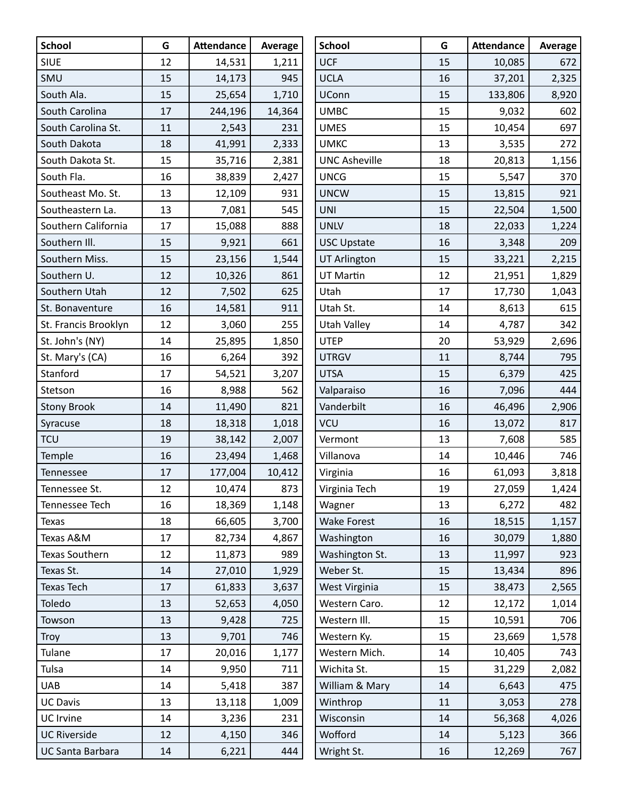| <b>School</b>           | G  | <b>Attendance</b> | Average | <b>School</b>        | G  | <b>Attendance</b> | Average |
|-------------------------|----|-------------------|---------|----------------------|----|-------------------|---------|
| <b>SIUE</b>             | 12 | 14,531            | 1,211   | <b>UCF</b>           | 15 | 10,085            | 672     |
| SMU                     | 15 | 14,173            | 945     | <b>UCLA</b>          | 16 | 37,201            | 2,325   |
| South Ala.              | 15 | 25,654            | 1,710   | <b>UConn</b>         | 15 | 133,806           | 8,920   |
| South Carolina          | 17 | 244,196           | 14,364  | <b>UMBC</b>          | 15 | 9,032             | 602     |
| South Carolina St.      | 11 | 2,543             | 231     | <b>UMES</b>          | 15 | 10,454            | 697     |
| South Dakota            | 18 | 41,991            | 2,333   | <b>UMKC</b>          | 13 | 3,535             | 272     |
| South Dakota St.        | 15 | 35,716            | 2,381   | <b>UNC Asheville</b> | 18 | 20,813            | 1,156   |
| South Fla.              | 16 | 38,839            | 2,427   | <b>UNCG</b>          | 15 | 5,547             | 370     |
| Southeast Mo. St.       | 13 | 12,109            | 931     | <b>UNCW</b>          | 15 | 13,815            | 921     |
| Southeastern La.        | 13 | 7,081             | 545     | <b>UNI</b>           | 15 | 22,504            | 1,500   |
| Southern California     | 17 | 15,088            | 888     | <b>UNLV</b>          | 18 | 22,033            | 1,224   |
| Southern III.           | 15 | 9,921             | 661     | <b>USC Upstate</b>   | 16 | 3,348             | 209     |
| Southern Miss.          | 15 | 23,156            | 1,544   | <b>UT Arlington</b>  | 15 | 33,221            | 2,215   |
| Southern U.             | 12 | 10,326            | 861     | UT Martin            | 12 | 21,951            | 1,829   |
| Southern Utah           | 12 | 7,502             | 625     | Utah                 | 17 | 17,730            | 1,043   |
| St. Bonaventure         | 16 | 14,581            | 911     | Utah St.             | 14 | 8,613             | 615     |
| St. Francis Brooklyn    | 12 | 3,060             | 255     | <b>Utah Valley</b>   | 14 | 4,787             | 342     |
| St. John's (NY)         | 14 | 25,895            | 1,850   | <b>UTEP</b>          | 20 | 53,929            | 2,696   |
| St. Mary's (CA)         | 16 | 6,264             | 392     | <b>UTRGV</b>         | 11 | 8,744             | 795     |
| Stanford                | 17 | 54,521            | 3,207   | <b>UTSA</b>          | 15 | 6,379             | 425     |
| Stetson                 | 16 | 8,988             | 562     | Valparaiso           | 16 | 7,096             | 444     |
| <b>Stony Brook</b>      | 14 | 11,490            | 821     | Vanderbilt           | 16 | 46,496            | 2,906   |
| Syracuse                | 18 | 18,318            | 1,018   | <b>VCU</b>           | 16 | 13,072            | 817     |
| <b>TCU</b>              | 19 | 38,142            | 2,007   | Vermont              | 13 | 7,608             | 585     |
| Temple                  | 16 | 23,494            | 1,468   | Villanova            | 14 | 10,446            | 746     |
| Tennessee               | 17 | 177,004           | 10,412  | Virginia             | 16 | 61,093            | 3,818   |
| Tennessee St.           | 12 | 10,474            | 873     | Virginia Tech        | 19 | 27,059            | 1,424   |
| Tennessee Tech          | 16 | 18,369            | 1,148   | Wagner               | 13 | 6,272             | 482     |
| <b>Texas</b>            | 18 | 66,605            | 3,700   | <b>Wake Forest</b>   | 16 | 18,515            | 1,157   |
| Texas A&M               | 17 | 82,734            | 4,867   | Washington           | 16 | 30,079            | 1,880   |
| Texas Southern          | 12 | 11,873            | 989     | Washington St.       | 13 | 11,997            | 923     |
| Texas St.               | 14 | 27,010            | 1,929   | Weber St.            | 15 | 13,434            | 896     |
| Texas Tech              | 17 | 61,833            | 3,637   | West Virginia        | 15 | 38,473            | 2,565   |
| Toledo                  | 13 | 52,653            | 4,050   | Western Caro.        | 12 | 12,172            | 1,014   |
| Towson                  | 13 | 9,428             | 725     | Western III.         | 15 | 10,591            | 706     |
| Troy                    | 13 | 9,701             | 746     | Western Ky.          | 15 | 23,669            | 1,578   |
| Tulane                  | 17 | 20,016            | 1,177   | Western Mich.        | 14 | 10,405            | 743     |
| Tulsa                   | 14 | 9,950             | 711     | Wichita St.          | 15 | 31,229            | 2,082   |
| <b>UAB</b>              | 14 | 5,418             | 387     | William & Mary       | 14 | 6,643             | 475     |
| <b>UC Davis</b>         | 13 | 13,118            | 1,009   | Winthrop             | 11 | 3,053             | 278     |
| <b>UC</b> Irvine        | 14 | 3,236             | 231     | Wisconsin            | 14 | 56,368            | 4,026   |
| <b>UC Riverside</b>     | 12 | 4,150             | 346     | Wofford              | 14 | 5,123             | 366     |
| <b>UC Santa Barbara</b> | 14 | 6,221             | 444     | Wright St.           | 16 | 12,269            | 767     |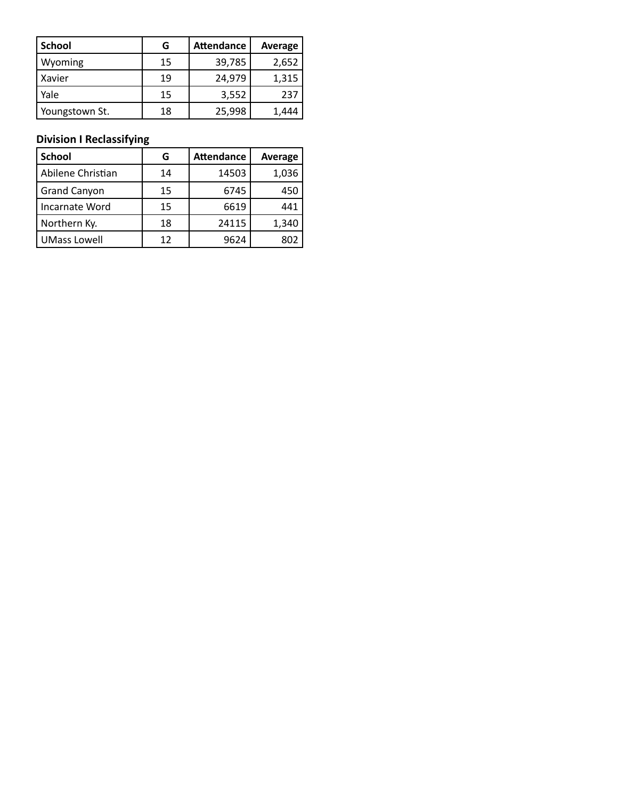| <b>School</b>  | G  | <b>Attendance</b> | Average |
|----------------|----|-------------------|---------|
| Wyoming        | 15 | 39,785            | 2,652   |
| Xavier         | 19 | 24,979            | 1,315   |
| Yale           | 15 | 3,552             | 237     |
| Youngstown St. | 18 | 25,998            | 1.444   |

### **Division I Reclassifying**

| <b>School</b>       | G  | <b>Attendance</b> | Average |
|---------------------|----|-------------------|---------|
| Abilene Christian   | 14 | 14503             | 1,036   |
| Grand Canyon        | 15 | 6745              | 450     |
| Incarnate Word      | 15 | 6619              | 441     |
| Northern Ky.        | 18 | 24115             | 1,340   |
| <b>UMass Lowell</b> | 12 | 9624              | 802     |